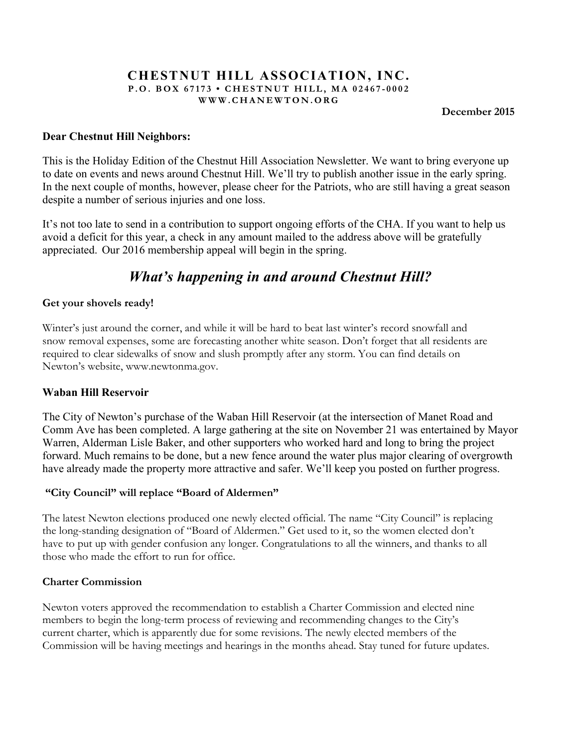#### **CHESTNUT HILL ASSOCIATION, INC. P.O. BOX 67173 • CHESTNUT HILL, MA 02467 - 0002 WWW.CHANEWTON.ORG**

**December 2015**

# **Dear Chestnut Hill Neighbors:**

This is the Holiday Edition of the Chestnut Hill Association Newsletter. We want to bring everyone up to date on events and news around Chestnut Hill. We'll try to publish another issue in the early spring. In the next couple of months, however, please cheer for the Patriots, who are still having a great season despite a number of serious injuries and one loss.

It's not too late to send in a contribution to support ongoing efforts of the CHA. If you want to help us avoid a deficit for this year, a check in any amount mailed to the address above will be gratefully appreciated. Our 2016 membership appeal will begin in the spring.

# *What's happening in and around Chestnut Hill?*

#### **Get your shovels ready!**

Winter's just around the corner, and while it will be hard to beat last winter's record snowfall and snow removal expenses, some are forecasting another white season. Don't forget that all residents are required to clear sidewalks of snow and slush promptly after any storm. You can find details on Newton's website, www.newtonma.gov.

#### **Waban Hill Reservoir**

The City of Newton's purchase of the Waban Hill Reservoir (at the intersection of Manet Road and Comm Ave has been completed. A large gathering at the site on November 21 was entertained by Mayor Warren, Alderman Lisle Baker, and other supporters who worked hard and long to bring the project forward. Much remains to be done, but a new fence around the water plus major clearing of overgrowth have already made the property more attractive and safer. We'll keep you posted on further progress.

#### **"City Council" will replace "Board of Aldermen"**

The latest Newton elections produced one newly elected official. The name "City Council" is replacing the long-standing designation of "Board of Aldermen." Get used to it, so the women elected don't have to put up with gender confusion any longer. Congratulations to all the winners, and thanks to all those who made the effort to run for office.

#### **Charter Commission**

Newton voters approved the recommendation to establish a Charter Commission and elected nine members to begin the long-term process of reviewing and recommending changes to the City's current charter, which is apparently due for some revisions. The newly elected members of the Commission will be having meetings and hearings in the months ahead. Stay tuned for future updates.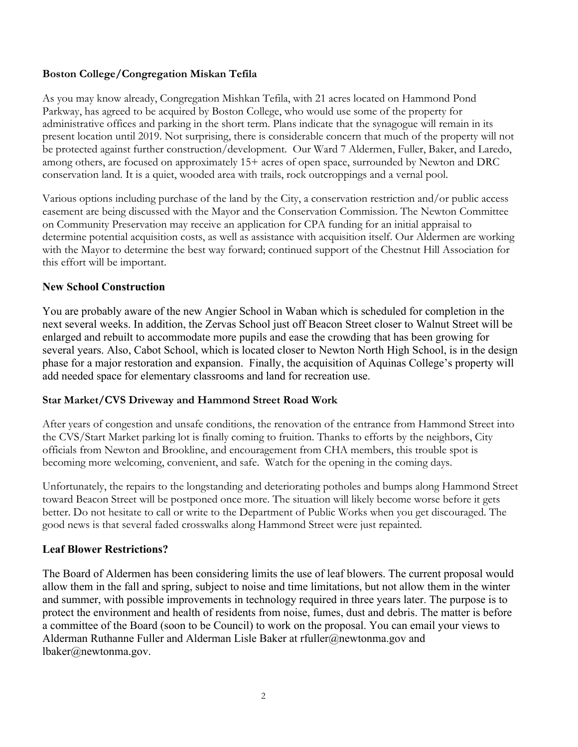## **Boston College/Congregation Miskan Tefila**

As you may know already, Congregation Mishkan Tefila, with 21 acres located on Hammond Pond Parkway, has agreed to be acquired by Boston College, who would use some of the property for administrative offices and parking in the short term. Plans indicate that the synagogue will remain in its present location until 2019. Not surprising, there is considerable concern that much of the property will not be protected against further construction/development. Our Ward 7 Aldermen, Fuller, Baker, and Laredo, among others, are focused on approximately 15+ acres of open space, surrounded by Newton and DRC conservation land. It is a quiet, wooded area with trails, rock outcroppings and a vernal pool.

Various options including purchase of the land by the City, a conservation restriction and/or public access easement are being discussed with the Mayor and the Conservation Commission. The Newton Committee on Community Preservation may receive an application for CPA funding for an initial appraisal to determine potential acquisition costs, as well as assistance with acquisition itself. Our Aldermen are working with the Mayor to determine the best way forward; continued support of the Chestnut Hill Association for this effort will be important.

# **New School Construction**

You are probably aware of the new Angier School in Waban which is scheduled for completion in the next several weeks. In addition, the Zervas School just off Beacon Street closer to Walnut Street will be enlarged and rebuilt to accommodate more pupils and ease the crowding that has been growing for several years. Also, Cabot School, which is located closer to Newton North High School, is in the design phase for a major restoration and expansion. Finally, the acquisition of Aquinas College's property will add needed space for elementary classrooms and land for recreation use.

#### **Star Market/CVS Driveway and Hammond Street Road Work**

After years of congestion and unsafe conditions, the renovation of the entrance from Hammond Street into the CVS/Start Market parking lot is finally coming to fruition. Thanks to efforts by the neighbors, City officials from Newton and Brookline, and encouragement from CHA members, this trouble spot is becoming more welcoming, convenient, and safe. Watch for the opening in the coming days.

Unfortunately, the repairs to the longstanding and deteriorating potholes and bumps along Hammond Street toward Beacon Street will be postponed once more. The situation will likely become worse before it gets better. Do not hesitate to call or write to the Department of Public Works when you get discouraged. The good news is that several faded crosswalks along Hammond Street were just repainted.

#### **Leaf Blower Restrictions?**

The Board of Aldermen has been considering limits the use of leaf blowers. The current proposal would allow them in the fall and spring, subject to noise and time limitations, but not allow them in the winter and summer, with possible improvements in technology required in three years later. The purpose is to protect the environment and health of residents from noise, fumes, dust and debris. The matter is before a committee of the Board (soon to be Council) to work on the proposal. You can email your views to Alderman Ruthanne Fuller and Alderman Lisle Baker at rfuller@newtonma.gov and lbaker@newtonma.gov.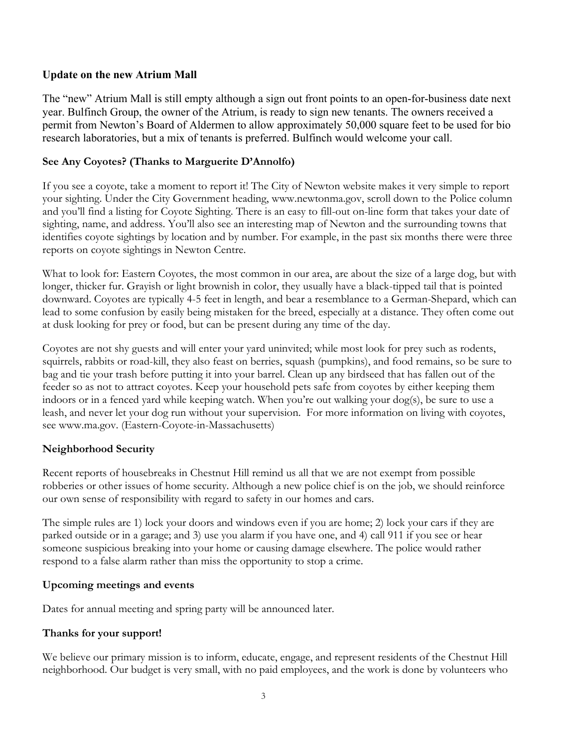# **Update on the new Atrium Mall**

The "new" Atrium Mall is still empty although a sign out front points to an open-for-business date next year. Bulfinch Group, the owner of the Atrium, is ready to sign new tenants. The owners received a permit from Newton's Board of Aldermen to allow approximately 50,000 square feet to be used for bio research laboratories, but a mix of tenants is preferred. Bulfinch would welcome your call.

# **See Any Coyotes? (Thanks to Marguerite D'Annolfo)**

If you see a coyote, take a moment to report it! The City of Newton website makes it very simple to report your sighting. Under the City Government heading, www.newtonma.gov, scroll down to the Police column and you'll find a listing for Coyote Sighting. There is an easy to fill-out on-line form that takes your date of sighting, name, and address. You'll also see an interesting map of Newton and the surrounding towns that identifies coyote sightings by location and by number. For example, in the past six months there were three reports on coyote sightings in Newton Centre.

What to look for: Eastern Coyotes, the most common in our area, are about the size of a large dog, but with longer, thicker fur. Grayish or light brownish in color, they usually have a black-tipped tail that is pointed downward. Coyotes are typically 4-5 feet in length, and bear a resemblance to a German-Shepard, which can lead to some confusion by easily being mistaken for the breed, especially at a distance. They often come out at dusk looking for prey or food, but can be present during any time of the day.

Coyotes are not shy guests and will enter your yard uninvited; while most look for prey such as rodents, squirrels, rabbits or road-kill, they also feast on berries, squash (pumpkins), and food remains, so be sure to bag and tie your trash before putting it into your barrel. Clean up any birdseed that has fallen out of the feeder so as not to attract coyotes. Keep your household pets safe from coyotes by either keeping them indoors or in a fenced yard while keeping watch. When you're out walking your dog(s), be sure to use a leash, and never let your dog run without your supervision. For more information on living with coyotes, see www.ma.gov. (Eastern-Coyote-in-Massachusetts)

# **Neighborhood Security**

Recent reports of housebreaks in Chestnut Hill remind us all that we are not exempt from possible robberies or other issues of home security. Although a new police chief is on the job, we should reinforce our own sense of responsibility with regard to safety in our homes and cars.

The simple rules are 1) lock your doors and windows even if you are home; 2) lock your cars if they are parked outside or in a garage; and 3) use you alarm if you have one, and 4) call 911 if you see or hear someone suspicious breaking into your home or causing damage elsewhere. The police would rather respond to a false alarm rather than miss the opportunity to stop a crime.

#### **Upcoming meetings and events**

Dates for annual meeting and spring party will be announced later.

# **Thanks for your support!**

We believe our primary mission is to inform, educate, engage, and represent residents of the Chestnut Hill neighborhood. Our budget is very small, with no paid employees, and the work is done by volunteers who